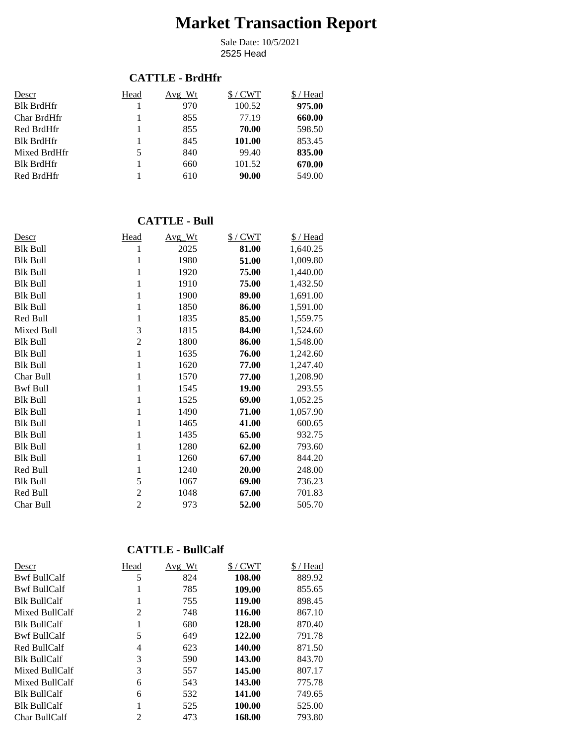# **Market Transaction Report**

2525 Head Sale Date: 10/5/2021

#### **CATTLE - BrdHfr**

| Descr             | Head | Avg Wt | $$/$ CWT | / Head |
|-------------------|------|--------|----------|--------|
| <b>Blk BrdHfr</b> |      | 970    | 100.52   | 975.00 |
| Char BrdHfr       |      | 855    | 77.19    | 660.00 |
| Red BrdHfr        |      | 855    | 70.00    | 598.50 |
| <b>Blk BrdHfr</b> |      | 845    | 101.00   | 853.45 |
| Mixed BrdHfr      | 5    | 840    | 99.40    | 835.00 |
| <b>Blk BrdHfr</b> |      | 660    | 101.52   | 670.00 |
| Red BrdHfr        |      | 610    | 90.00    | 549.00 |

#### **CATTLE - Bull**

| Descr           | Head           | Avg_Wt | $$/$ CWT     | \$/Head  |
|-----------------|----------------|--------|--------------|----------|
| <b>Blk Bull</b> | 1              | 2025   | 81.00        | 1,640.25 |
| <b>Blk Bull</b> | 1              | 1980   | 51.00        | 1,009.80 |
| <b>Blk Bull</b> | 1              | 1920   | 75.00        | 1,440.00 |
| <b>Blk Bull</b> | 1              | 1910   | 75.00        | 1,432.50 |
| <b>Blk Bull</b> | 1              | 1900   | 89.00        | 1,691.00 |
| <b>Blk Bull</b> | 1              | 1850   | 86.00        | 1,591.00 |
| Red Bull        | 1              | 1835   | 85.00        | 1,559.75 |
| Mixed Bull      | 3              | 1815   | 84.00        | 1,524.60 |
| <b>Blk Bull</b> | $\overline{2}$ | 1800   | 86.00        | 1,548.00 |
| <b>Blk Bull</b> | $\mathbf{1}$   | 1635   | 76.00        | 1,242.60 |
| <b>Blk Bull</b> | 1              | 1620   | 77.00        | 1,247.40 |
| Char Bull       | 1              | 1570   | 77.00        | 1,208.90 |
| <b>Bwf Bull</b> | 1              | 1545   | <b>19.00</b> | 293.55   |
| <b>Blk Bull</b> | 1              | 1525   | 69.00        | 1,052.25 |
| <b>Blk Bull</b> | 1              | 1490   | 71.00        | 1,057.90 |
| <b>Blk Bull</b> | 1              | 1465   | 41.00        | 600.65   |
| <b>Blk Bull</b> | 1              | 1435   | 65.00        | 932.75   |
| <b>Blk Bull</b> | 1              | 1280   | 62.00        | 793.60   |
| <b>Blk Bull</b> | 1              | 1260   | 67.00        | 844.20   |
| Red Bull        | 1              | 1240   | 20.00        | 248.00   |
| <b>Blk Bull</b> | 5              | 1067   | 69.00        | 736.23   |
| Red Bull        | $\overline{c}$ | 1048   | 67.00        | 701.83   |
| Char Bull       | $\overline{2}$ | 973    | 52.00        | 505.70   |

#### **CATTLE - BullCalf**

| Descr               | Head           | Avg Wt | $$/$ CWT | \$/Head |
|---------------------|----------------|--------|----------|---------|
| <b>Bwf BullCalf</b> | 5              | 824    | 108.00   | 889.92  |
| <b>Bwf BullCalf</b> | 1              | 785    | 109.00   | 855.65  |
| <b>Blk BullCalf</b> |                | 755    | 119.00   | 898.45  |
| Mixed BullCalf      | 2              | 748    | 116.00   | 867.10  |
| <b>Blk BullCalf</b> | 1              | 680    | 128.00   | 870.40  |
| <b>Bwf BullCalf</b> | 5              | 649    | 122.00   | 791.78  |
| Red BullCalf        | 4              | 623    | 140.00   | 871.50  |
| <b>Blk BullCalf</b> | 3              | 590    | 143.00   | 843.70  |
| Mixed BullCalf      | 3              | 557    | 145.00   | 807.17  |
| Mixed BullCalf      | 6              | 543    | 143.00   | 775.78  |
| <b>Blk BullCalf</b> | 6              | 532    | 141.00   | 749.65  |
| <b>Blk BullCalf</b> |                | 525    | 100.00   | 525.00  |
| Char BullCalf       | $\overline{c}$ | 473    | 168.00   | 793.80  |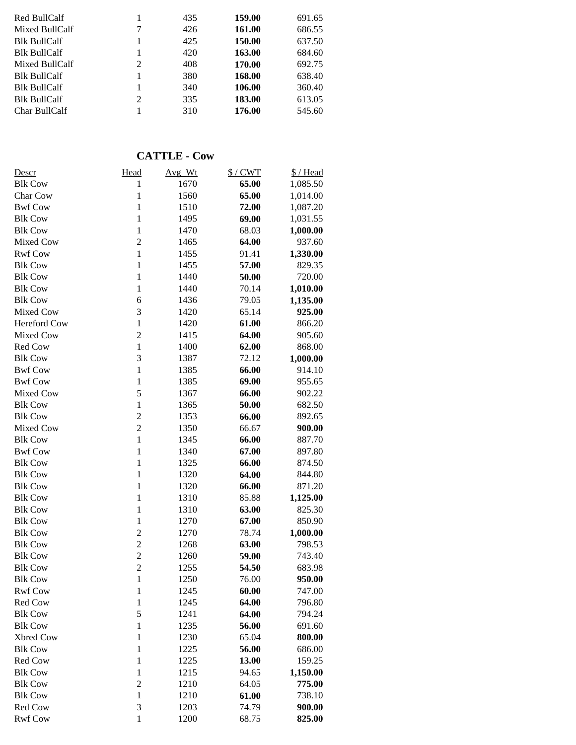| Red BullCalf<br>Mixed BullCalf | 7 | 435<br>426 | 159.00<br>161.00 | 691.65<br>686.55 |
|--------------------------------|---|------------|------------------|------------------|
| <b>Blk BullCalf</b>            |   | 425        | 150.00           | 637.50           |
| <b>Blk BullCalf</b>            |   | 420        | 163.00           | 684.60           |
| Mixed BullCalf                 | 2 | 408        | 170.00           | 692.75           |
| <b>Blk BullCalf</b>            |   | 380        | 168.00           | 638.40           |
| <b>Blk BullCalf</b>            |   | 340        | 106.00           | 360.40           |
| <b>Blk BullCalf</b>            | 2 | 335        | 183.00           | 613.05           |
| Char BullCalf                  |   | 310        | 176.00           | 545.60           |

## **CATTLE - Cow**

| Descr               | Head           | Avg_Wt | $$/$ CWT | \$/Head  |
|---------------------|----------------|--------|----------|----------|
| <b>Blk Cow</b>      | 1              | 1670   | 65.00    | 1,085.50 |
| Char Cow            | $\mathbf{1}$   | 1560   | 65.00    | 1,014.00 |
| <b>Bwf Cow</b>      | $\mathbf{1}$   | 1510   | 72.00    | 1,087.20 |
| <b>Blk Cow</b>      | $\mathbf{1}$   | 1495   | 69.00    | 1,031.55 |
| <b>Blk Cow</b>      | $\mathbf{1}$   | 1470   | 68.03    | 1,000.00 |
| Mixed Cow           | $\overline{2}$ | 1465   | 64.00    | 937.60   |
| <b>Rwf Cow</b>      | $\mathbf{1}$   | 1455   | 91.41    | 1,330.00 |
| <b>Blk Cow</b>      | $\mathbf{1}$   | 1455   | 57.00    | 829.35   |
| <b>Blk Cow</b>      | $\mathbf{1}$   | 1440   | 50.00    | 720.00   |
| <b>Blk Cow</b>      | $\mathbf{1}$   | 1440   | 70.14    | 1,010.00 |
| <b>Blk Cow</b>      | 6              | 1436   | 79.05    | 1,135.00 |
| Mixed Cow           | 3              | 1420   | 65.14    | 925.00   |
| <b>Hereford Cow</b> | $\mathbf{1}$   | 1420   | 61.00    | 866.20   |
| Mixed Cow           | $\overline{c}$ | 1415   | 64.00    | 905.60   |
| Red Cow             | $\mathbf{1}$   | 1400   | 62.00    | 868.00   |
| <b>Blk Cow</b>      | 3              | 1387   | 72.12    | 1,000.00 |
| <b>Bwf Cow</b>      | $\mathbf{1}$   | 1385   | 66.00    | 914.10   |
| <b>Bwf Cow</b>      | $\mathbf{1}$   | 1385   | 69.00    | 955.65   |
| Mixed Cow           | 5              | 1367   | 66.00    | 902.22   |
| <b>Blk Cow</b>      | $\mathbf{1}$   | 1365   | 50.00    | 682.50   |
| <b>Blk Cow</b>      | $\overline{c}$ | 1353   | 66.00    | 892.65   |
| Mixed Cow           | $\overline{c}$ | 1350   | 66.67    | 900.00   |
| <b>Blk Cow</b>      | $\mathbf{1}$   | 1345   | 66.00    | 887.70   |
| <b>Bwf Cow</b>      | $\mathbf{1}$   | 1340   | 67.00    | 897.80   |
| <b>Blk Cow</b>      | $\mathbf{1}$   | 1325   | 66.00    | 874.50   |
| <b>Blk Cow</b>      | $\mathbf{1}$   | 1320   | 64.00    | 844.80   |
| <b>Blk Cow</b>      | $\mathbf{1}$   | 1320   | 66.00    | 871.20   |
| <b>Blk Cow</b>      | $\mathbf{1}$   | 1310   | 85.88    | 1,125.00 |
| <b>Blk Cow</b>      | $\mathbf{1}$   | 1310   | 63.00    | 825.30   |
| <b>Blk Cow</b>      | $\mathbf{1}$   | 1270   | 67.00    | 850.90   |
| <b>Blk Cow</b>      | $\overline{c}$ | 1270   | 78.74    |          |
| <b>Blk Cow</b>      | $\overline{c}$ |        |          | 1,000.00 |
| <b>Blk Cow</b>      | $\overline{c}$ | 1268   | 63.00    | 798.53   |
|                     | $\overline{c}$ | 1260   | 59.00    | 743.40   |
| <b>Blk Cow</b>      | $\mathbf{1}$   | 1255   | 54.50    | 683.98   |
| <b>Blk Cow</b>      |                | 1250   | 76.00    | 950.00   |
| <b>Rwf Cow</b>      | 1              | 1245   | 60.00    | 747.00   |
| Red Cow             | $\mathbf{1}$   | 1245   | 64.00    | 796.80   |
| <b>Blk Cow</b>      | 5              | 1241   | 64.00    | 794.24   |
| <b>Blk Cow</b>      | $\mathbf{1}$   | 1235   | 56.00    | 691.60   |
| Xbred Cow           | $\mathbf{1}$   | 1230   | 65.04    | 800.00   |
| <b>Blk Cow</b>      | $\mathbf{1}$   | 1225   | 56.00    | 686.00   |
| Red Cow             | $\mathbf{1}$   | 1225   | 13.00    | 159.25   |
| <b>Blk Cow</b>      | $\mathbf{1}$   | 1215   | 94.65    | 1,150.00 |
| <b>Blk Cow</b>      | $\overline{c}$ | 1210   | 64.05    | 775.00   |
| <b>Blk Cow</b>      | $\mathbf{1}$   | 1210   | 61.00    | 738.10   |
| Red Cow             | 3              | 1203   | 74.79    | 900.00   |
| <b>Rwf Cow</b>      | $\mathbf{1}$   | 1200   | 68.75    | 825.00   |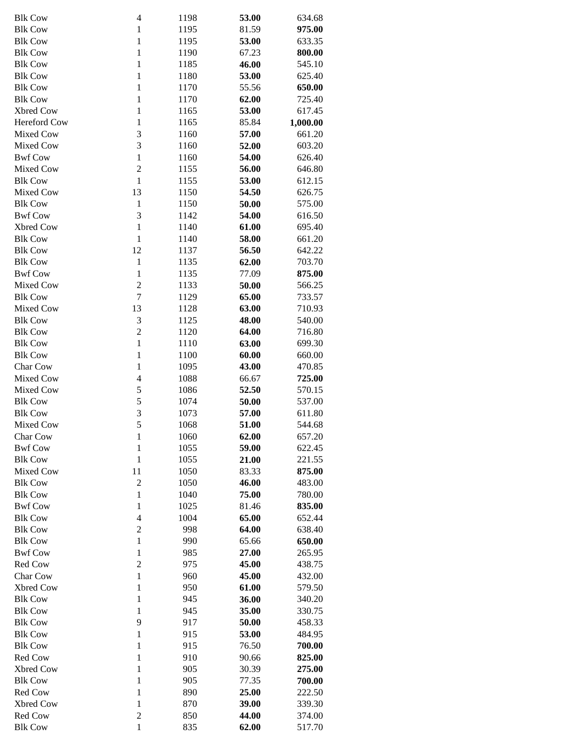| <b>Blk Cow</b> | 4              | 1198         | 53.00          | 634.68           |
|----------------|----------------|--------------|----------------|------------------|
| <b>Blk Cow</b> | $\mathbf{1}$   | 1195         | 81.59          | 975.00           |
| <b>Blk Cow</b> | $\mathbf{1}$   | 1195         | 53.00          | 633.35           |
| <b>Blk Cow</b> | $\mathbf{1}$   | 1190         | 67.23          | 800.00           |
| <b>Blk Cow</b> | $\mathbf{1}$   | 1185         | 46.00          | 545.10           |
| <b>Blk Cow</b> | $\mathbf{1}$   | 1180         | 53.00          | 625.40           |
| <b>Blk Cow</b> | $\mathbf{1}$   | 1170         | 55.56          | 650.00           |
| <b>Blk Cow</b> | $\mathbf{1}$   | 1170         | 62.00          | 725.40           |
| Xbred Cow      | $\mathbf{1}$   | 1165         | 53.00          | 617.45           |
| Hereford Cow   | $\mathbf{1}$   | 1165         | 85.84          | 1,000.00         |
| Mixed Cow      | 3              | 1160         | 57.00          | 661.20           |
| Mixed Cow      | 3              | 1160         | 52.00          | 603.20           |
| <b>Bwf Cow</b> | $\mathbf{1}$   | 1160         | 54.00          | 626.40           |
| Mixed Cow      | $\overline{2}$ | 1155         | 56.00          | 646.80           |
| <b>Blk Cow</b> | $\mathbf{1}$   | 1155         | 53.00          | 612.15           |
| Mixed Cow      | 13             | 1150         | 54.50          | 626.75           |
| <b>Blk Cow</b> | $\,1\,$        | 1150         | 50.00          | 575.00           |
| <b>Bwf Cow</b> | 3              | 1142         | 54.00          | 616.50           |
| Xbred Cow      | $\mathbf{1}$   | 1140         | 61.00          | 695.40           |
| <b>Blk Cow</b> | $\mathbf{1}$   | 1140         | 58.00          | 661.20           |
| <b>Blk Cow</b> | 12             | 1137         | 56.50          | 642.22           |
| <b>Blk Cow</b> | $\mathbf{1}$   | 1135         | 62.00          | 703.70           |
| <b>Bwf Cow</b> | $\mathbf{1}$   | 1135         | 77.09          | 875.00           |
| Mixed Cow      | $\overline{c}$ | 1133         | 50.00          | 566.25           |
| <b>Blk Cow</b> | $\tau$         | 1129         | 65.00          | 733.57           |
| Mixed Cow      | 13             | 1128         | 63.00          | 710.93           |
| <b>Blk Cow</b> | 3              | 1125         | 48.00          | 540.00           |
| <b>Blk Cow</b> | $\overline{c}$ | 1120         | 64.00          | 716.80           |
| <b>Blk Cow</b> | $\mathbf{1}$   |              | 63.00          | 699.30           |
| <b>Blk Cow</b> | $\mathbf{1}$   | 1110<br>1100 |                | 660.00           |
| Char Cow       | $\mathbf{1}$   | 1095         | 60.00          |                  |
| Mixed Cow      | $\overline{4}$ | 1088         | 43.00<br>66.67 | 470.85<br>725.00 |
| Mixed Cow      | 5              | 1086         |                |                  |
| <b>Blk Cow</b> | 5              | 1074         | 52.50<br>50.00 | 570.15<br>537.00 |
| <b>Blk Cow</b> | 3              | 1073         |                | 611.80           |
| Mixed Cow      | 5              | 1068         | 57.00          |                  |
|                |                |              | 51.00          | 544.68           |
| Char Cow       | 1              | 1060         | 62.00          | 657.20           |
| <b>Bwf Cow</b> | $\mathbf{1}$   | 1055         | 59.00          | 622.45           |
| <b>Blk Cow</b> | $\mathbf{1}$   | 1055         | 21.00          | 221.55           |
| Mixed Cow      | 11             | 1050         | 83.33          | 875.00           |
| <b>Blk Cow</b> | $\overline{c}$ | 1050         | 46.00          | 483.00           |
| <b>Blk Cow</b> | $\mathbf{1}$   | 1040         | 75.00          | 780.00           |
| <b>Bwf Cow</b> | $\mathbf{1}$   | 1025         | 81.46          | 835.00           |
| <b>Blk Cow</b> | $\overline{4}$ | 1004         | 65.00          | 652.44           |
| <b>Blk Cow</b> | $\sqrt{2}$     | 998          | 64.00          | 638.40           |
| <b>Blk Cow</b> | $\mathbf{1}$   | 990          | 65.66          | 650.00           |
| <b>Bwf Cow</b> | $\mathbf{1}$   | 985          | 27.00          | 265.95           |
| Red Cow        | $\overline{2}$ | 975          | 45.00          | 438.75           |
| Char Cow       | $\mathbf{1}$   | 960          | 45.00          | 432.00           |
| Xbred Cow      | $\mathbf{1}$   | 950          | 61.00          | 579.50           |
| <b>Blk Cow</b> | $\mathbf{1}$   | 945          | 36.00          | 340.20           |
| <b>Blk Cow</b> | $\mathbf{1}$   | 945          | 35.00          | 330.75           |
| <b>Blk Cow</b> | 9              | 917          | 50.00          | 458.33           |
| <b>Blk Cow</b> | $\mathbf{1}$   | 915          | 53.00          | 484.95           |
| <b>Blk Cow</b> | $\mathbf{1}$   | 915          | 76.50          | 700.00           |
| Red Cow        | $\mathbf{1}$   | 910          | 90.66          | 825.00           |
| Xbred Cow      | $\mathbf{1}$   | 905          | 30.39          | 275.00           |
| <b>Blk Cow</b> | $\mathbf{1}$   | 905          | 77.35          | 700.00           |
| Red Cow        | $\mathbf{1}$   | 890          | 25.00          | 222.50           |
| Xbred Cow      | $\mathbf{1}$   | 870          | 39.00          | 339.30           |
| Red Cow        | $\overline{2}$ | 850          | 44.00          | 374.00           |
| <b>Blk Cow</b> | $\mathbf{1}$   | 835          | 62.00          | 517.70           |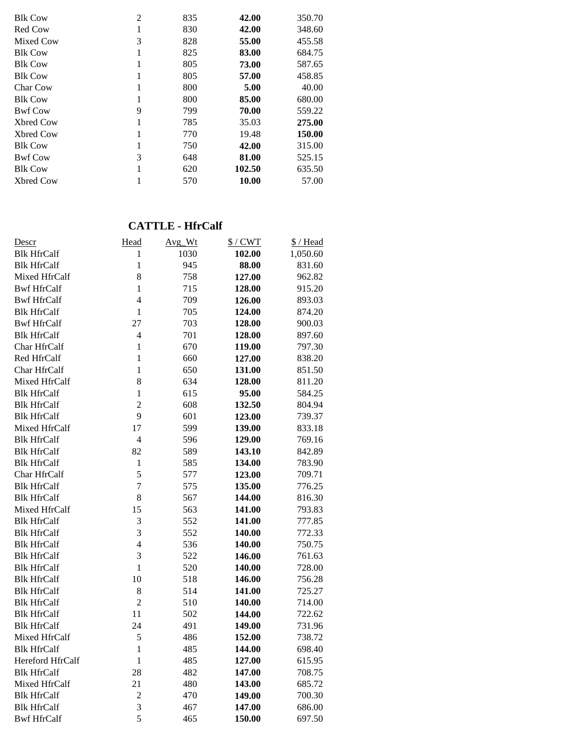| <b>Blk Cow</b>  | $\overline{2}$ | 835 | 42.00  | 350.70 |
|-----------------|----------------|-----|--------|--------|
| Red Cow         |                | 830 | 42.00  | 348.60 |
| Mixed Cow       | 3              | 828 | 55.00  | 455.58 |
| <b>Blk Cow</b>  |                | 825 | 83.00  | 684.75 |
| <b>Blk Cow</b>  |                | 805 | 73.00  | 587.65 |
| <b>Blk Cow</b>  |                | 805 | 57.00  | 458.85 |
| <b>Char Cow</b> |                | 800 | 5.00   | 40.00  |
| <b>Blk Cow</b>  |                | 800 | 85.00  | 680.00 |
| <b>Bwf Cow</b>  | 9              | 799 | 70.00  | 559.22 |
| Xbred Cow       |                | 785 | 35.03  | 275.00 |
| Xbred Cow       |                | 770 | 19.48  | 150.00 |
| <b>Blk Cow</b>  |                | 750 | 42.00  | 315.00 |
| <b>Bwf Cow</b>  | 3              | 648 | 81.00  | 525.15 |
| <b>Blk Cow</b>  |                | 620 | 102.50 | 635.50 |
| Xbred Cow       |                | 570 | 10.00  | 57.00  |

#### **CATTLE - HfrCalf**

| <u>Descr</u>       | Head           | Avg_Wt | $$/$ CWT | \$/Head  |
|--------------------|----------------|--------|----------|----------|
| <b>Blk HfrCalf</b> | 1              | 1030   | 102.00   | 1,050.60 |
| <b>Blk HfrCalf</b> | $\mathbf{1}$   | 945    | 88.00    | 831.60   |
| Mixed HfrCalf      | 8              | 758    | 127.00   | 962.82   |
| <b>Bwf HfrCalf</b> | $\mathbf{1}$   | 715    | 128.00   | 915.20   |
| <b>Bwf HfrCalf</b> | $\overline{4}$ | 709    | 126.00   | 893.03   |
| <b>Blk HfrCalf</b> | $\mathbf{1}$   | 705    | 124.00   | 874.20   |
| <b>Bwf HfrCalf</b> | 27             | 703    | 128.00   | 900.03   |
| <b>Blk HfrCalf</b> | $\overline{4}$ | 701    | 128.00   | 897.60   |
| Char HfrCalf       | $\mathbf{1}$   | 670    | 119.00   | 797.30   |
| Red HfrCalf        | 1              | 660    | 127.00   | 838.20   |
| Char HfrCalf       | $\mathbf{1}$   | 650    | 131.00   | 851.50   |
| Mixed HfrCalf      | 8              | 634    | 128.00   | 811.20   |
| <b>Blk HfrCalf</b> | $\mathbf{1}$   | 615    | 95.00    | 584.25   |
| <b>Blk HfrCalf</b> | $\overline{2}$ | 608    | 132.50   | 804.94   |
| <b>Blk HfrCalf</b> | 9              | 601    | 123.00   | 739.37   |
| Mixed HfrCalf      | 17             | 599    | 139.00   | 833.18   |
| <b>Blk HfrCalf</b> | 4              | 596    | 129.00   | 769.16   |
| <b>Blk HfrCalf</b> | 82             | 589    | 143.10   | 842.89   |
| <b>Blk HfrCalf</b> | 1              | 585    | 134.00   | 783.90   |
| Char HfrCalf       | 5              | 577    | 123.00   | 709.71   |
| <b>Blk HfrCalf</b> | $\overline{7}$ | 575    | 135.00   | 776.25   |
| <b>Blk HfrCalf</b> | 8              | 567    | 144.00   | 816.30   |
| Mixed HfrCalf      | 15             | 563    | 141.00   | 793.83   |
| <b>Blk HfrCalf</b> | 3              | 552    | 141.00   | 777.85   |
| <b>Blk HfrCalf</b> | 3              | 552    | 140.00   | 772.33   |
| <b>Blk HfrCalf</b> | $\overline{4}$ | 536    | 140.00   | 750.75   |
| <b>Blk HfrCalf</b> | 3              | 522    | 146.00   | 761.63   |
| <b>Blk HfrCalf</b> | $\mathbf{1}$   | 520    | 140.00   | 728.00   |
| <b>Blk HfrCalf</b> | 10             | 518    | 146.00   | 756.28   |
| <b>Blk HfrCalf</b> | 8              | 514    | 141.00   | 725.27   |
| <b>Blk HfrCalf</b> | $\overline{c}$ | 510    | 140.00   | 714.00   |
| <b>Blk HfrCalf</b> | 11             | 502    | 144.00   | 722.62   |
| <b>Blk HfrCalf</b> | 24             | 491    | 149.00   | 731.96   |
| Mixed HfrCalf      | 5              | 486    | 152.00   | 738.72   |
| <b>Blk HfrCalf</b> | $\mathbf{1}$   | 485    | 144.00   | 698.40   |
| Hereford HfrCalf   | $\mathbf{1}$   | 485    | 127.00   | 615.95   |
| <b>Blk HfrCalf</b> | 28             | 482    | 147.00   | 708.75   |
| Mixed HfrCalf      | 21             | 480    | 143.00   | 685.72   |
| <b>Blk HfrCalf</b> | $\overline{c}$ | 470    | 149.00   | 700.30   |
| <b>Blk HfrCalf</b> | 3              | 467    | 147.00   | 686.00   |
| <b>Bwf HfrCalf</b> | 5              | 465    | 150.00   | 697.50   |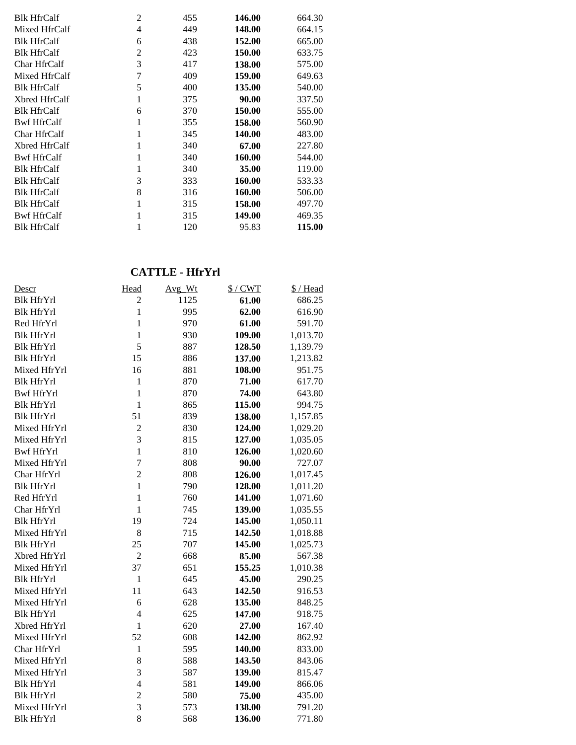| <b>Blk HfrCalf</b> | $\overline{2}$ | 455 | 146.00 | 664.30 |
|--------------------|----------------|-----|--------|--------|
| Mixed HfrCalf      | 4              | 449 | 148.00 | 664.15 |
| <b>Blk HfrCalf</b> | 6              | 438 | 152.00 | 665.00 |
| <b>Blk HfrCalf</b> | 2              | 423 | 150.00 | 633.75 |
| Char HfrCalf       | 3              | 417 | 138.00 | 575.00 |
| Mixed HfrCalf      | 7              | 409 | 159.00 | 649.63 |
| <b>Blk HfrCalf</b> | 5              | 400 | 135.00 | 540.00 |
| Xbred HfrCalf      |                | 375 | 90.00  | 337.50 |
| <b>Blk HfrCalf</b> | 6              | 370 | 150.00 | 555.00 |
| <b>Bwf HfrCalf</b> |                | 355 | 158.00 | 560.90 |
| Char HfrCalf       |                | 345 | 140.00 | 483.00 |
| Xbred HfrCalf      |                | 340 | 67.00  | 227.80 |
| <b>Bwf HfrCalf</b> |                | 340 | 160.00 | 544.00 |
| <b>Blk HfrCalf</b> |                | 340 | 35.00  | 119.00 |
| <b>Blk HfrCalf</b> | 3              | 333 | 160.00 | 533.33 |
| <b>Blk HfrCalf</b> | 8              | 316 | 160.00 | 506.00 |
| <b>Blk HfrCalf</b> |                | 315 | 158.00 | 497.70 |
| <b>Bwf HfrCalf</b> |                | 315 | 149.00 | 469.35 |
| <b>Blk HfrCalf</b> |                | 120 | 95.83  | 115.00 |

### **CATTLE - HfrYrl**

| Descr             | Head           | Avg_Wt | $$/$ CWT | \$/Head  |
|-------------------|----------------|--------|----------|----------|
| <b>Blk HfrYrl</b> | $\overline{c}$ | 1125   | 61.00    | 686.25   |
| <b>Blk HfrYrl</b> | $\mathbf{1}$   | 995    | 62.00    | 616.90   |
| Red HfrYrl        | $\mathbf{1}$   | 970    | 61.00    | 591.70   |
| <b>Blk HfrYrl</b> | $\mathbf{1}$   | 930    | 109.00   | 1,013.70 |
| <b>Blk HfrYrl</b> | 5              | 887    | 128.50   | 1,139.79 |
| <b>Blk HfrYrl</b> | 15             | 886    | 137.00   | 1,213.82 |
| Mixed HfrYrl      | 16             | 881    | 108.00   | 951.75   |
| <b>Blk HfrYrl</b> | $\mathbf{1}$   | 870    | 71.00    | 617.70   |
| <b>Bwf HfrYrl</b> | $\mathbf{1}$   | 870    | 74.00    | 643.80   |
| <b>Blk HfrYrl</b> | $\mathbf{1}$   | 865    | 115.00   | 994.75   |
| <b>Blk HfrYrl</b> | 51             | 839    | 138.00   | 1,157.85 |
| Mixed HfrYrl      | $\overline{c}$ | 830    | 124.00   | 1,029.20 |
| Mixed HfrYrl      | 3              | 815    | 127.00   | 1,035.05 |
| <b>Bwf HfrYrl</b> | $\mathbf{1}$   | 810    | 126.00   | 1,020.60 |
| Mixed HfrYrl      | 7              | 808    | 90.00    | 727.07   |
| Char HfrYrl       | $\overline{c}$ | 808    | 126.00   | 1,017.45 |
| <b>Blk HfrYrl</b> | $\mathbf{1}$   | 790    | 128.00   | 1,011.20 |
| Red HfrYrl        | $\mathbf{1}$   | 760    | 141.00   | 1,071.60 |
| Char HfrYrl       | $\mathbf{1}$   | 745    | 139.00   | 1,035.55 |
| <b>Blk HfrYrl</b> | 19             | 724    | 145.00   | 1,050.11 |
| Mixed HfrYrl      | 8              | 715    | 142.50   | 1,018.88 |
| <b>Blk HfrYrl</b> | 25             | 707    | 145.00   | 1,025.73 |
| Xbred HfrYrl      | $\overline{2}$ | 668    | 85.00    | 567.38   |
| Mixed HfrYrl      | 37             | 651    | 155.25   | 1,010.38 |
| <b>Blk HfrYrl</b> | $\mathbf{1}$   | 645    | 45.00    | 290.25   |
| Mixed HfrYrl      | 11             | 643    | 142.50   | 916.53   |
| Mixed HfrYrl      | 6              | 628    | 135.00   | 848.25   |
| <b>Blk HfrYrl</b> | $\overline{4}$ | 625    | 147.00   | 918.75   |
| Xbred HfrYrl      | $\mathbf{1}$   | 620    | 27.00    | 167.40   |
| Mixed HfrYrl      | 52             | 608    | 142.00   | 862.92   |
| Char HfrYrl       | $\mathbf{1}$   | 595    | 140.00   | 833.00   |
| Mixed HfrYrl      | 8              | 588    | 143.50   | 843.06   |
| Mixed HfrYrl      | 3              | 587    | 139.00   | 815.47   |
| <b>Blk HfrYrl</b> | $\overline{4}$ | 581    | 149.00   | 866.06   |
| <b>Blk HfrYrl</b> | $\overline{c}$ | 580    | 75.00    | 435.00   |
| Mixed HfrYrl      | $\overline{3}$ | 573    | 138.00   | 791.20   |
| <b>Blk HfrYrl</b> | 8              | 568    | 136.00   | 771.80   |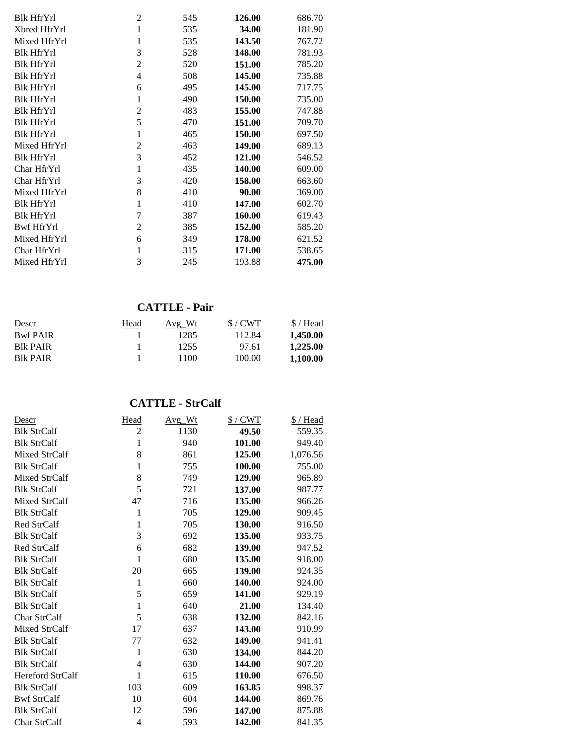| <b>Blk HfrYrl</b> | $\overline{2}$ | 545 | 126.00 | 686.70 |
|-------------------|----------------|-----|--------|--------|
| Xbred HfrYrl      | $\mathbf 1$    | 535 | 34.00  | 181.90 |
| Mixed HfrYrl      | 1              | 535 | 143.50 | 767.72 |
| <b>Blk HfrYrl</b> | 3              | 528 | 148.00 | 781.93 |
| <b>Blk HfrYrl</b> | 2              | 520 | 151.00 | 785.20 |
| <b>Blk HfrYrl</b> | 4              | 508 | 145.00 | 735.88 |
| <b>Blk HfrYrl</b> | 6              | 495 | 145.00 | 717.75 |
| <b>Blk HfrYrl</b> | 1              | 490 | 150.00 | 735.00 |
| <b>Blk HfrYrl</b> | 2              | 483 | 155.00 | 747.88 |
| <b>Blk HfrYrl</b> | 5              | 470 | 151.00 | 709.70 |
| <b>Blk HfrYrl</b> | 1              | 465 | 150.00 | 697.50 |
| Mixed HfrYrl      | 2              | 463 | 149.00 | 689.13 |
| <b>Blk HfrYrl</b> | 3              | 452 | 121.00 | 546.52 |
| Char HfrYrl       | 1              | 435 | 140.00 | 609.00 |
| Char HfrYrl       | 3              | 420 | 158.00 | 663.60 |
| Mixed HfrYrl      | 8              | 410 | 90.00  | 369.00 |
| <b>Blk HfrYrl</b> | 1              | 410 | 147.00 | 602.70 |
| <b>Blk HfrYrl</b> | 7              | 387 | 160.00 | 619.43 |
| Bwf HfrYrl        | $\overline{2}$ | 385 | 152.00 | 585.20 |
| Mixed HfrYrl      | 6              | 349 | 178.00 | 621.52 |
| Char HfrYrl       | 1              | 315 | 171.00 | 538.65 |
| Mixed HfrYrl      | 3              | 245 | 193.88 | 475.00 |

# **CATTLE - Pair**

| Descr            | Head | Avg Wt | S/CWT  | \$/Head  |
|------------------|------|--------|--------|----------|
| <b>Bwf PAIR</b>  |      | 1285   | 112.84 | 1,450.00 |
| <b>B</b> lk PAIR |      | 1255   | 97.61  | 1,225.00 |
| <b>BIK PAIR</b>  |      | 1100   | 100.00 | 1.100.00 |

#### **CATTLE - StrCalf**

| Descr                   | Head           | Avg Wt | $$/$ CWT | <u>S/Head</u> |
|-------------------------|----------------|--------|----------|---------------|
| <b>Blk StrCalf</b>      | 2              | 1130   | 49.50    | 559.35        |
| <b>Blk StrCalf</b>      | 1              | 940    | 101.00   | 949.40        |
| Mixed StrCalf           | 8              | 861    | 125.00   | 1,076.56      |
| <b>Blk StrCalf</b>      | $\mathbf{1}$   | 755    | 100.00   | 755.00        |
| Mixed StrCalf           | 8              | 749    | 129.00   | 965.89        |
| <b>Blk StrCalf</b>      | 5              | 721    | 137.00   | 987.77        |
| Mixed StrCalf           | 47             | 716    | 135.00   | 966.26        |
| <b>Blk StrCalf</b>      | $\mathbf{1}$   | 705    | 129.00   | 909.45        |
| <b>Red StrCalf</b>      | $\mathbf{1}$   | 705    | 130.00   | 916.50        |
| <b>Blk StrCalf</b>      | 3              | 692    | 135.00   | 933.75        |
| Red StrCalf             | 6              | 682    | 139.00   | 947.52        |
| <b>Blk StrCalf</b>      | $\mathbf 1$    | 680    | 135.00   | 918.00        |
| <b>Blk StrCalf</b>      | 20             | 665    | 139.00   | 924.35        |
| <b>Blk StrCalf</b>      | 1              | 660    | 140.00   | 924.00        |
| <b>Blk StrCalf</b>      | 5              | 659    | 141.00   | 929.19        |
| <b>Blk StrCalf</b>      | $\mathbf{1}$   | 640    | 21.00    | 134.40        |
| Char StrCalf            | 5              | 638    | 132.00   | 842.16        |
| Mixed StrCalf           | 17             | 637    | 143.00   | 910.99        |
| <b>Blk StrCalf</b>      | 77             | 632    | 149.00   | 941.41        |
| <b>Blk StrCalf</b>      | $\mathbf{1}$   | 630    | 134.00   | 844.20        |
| <b>Blk StrCalf</b>      | $\overline{4}$ | 630    | 144.00   | 907.20        |
| <b>Hereford StrCalf</b> | 1              | 615    | 110.00   | 676.50        |
| <b>Blk StrCalf</b>      | 103            | 609    | 163.85   | 998.37        |
| <b>Bwf StrCalf</b>      | 10             | 604    | 144.00   | 869.76        |
| <b>Blk StrCalf</b>      | 12             | 596    | 147.00   | 875.88        |
| Char StrCalf            | $\overline{4}$ | 593    | 142.00   | 841.35        |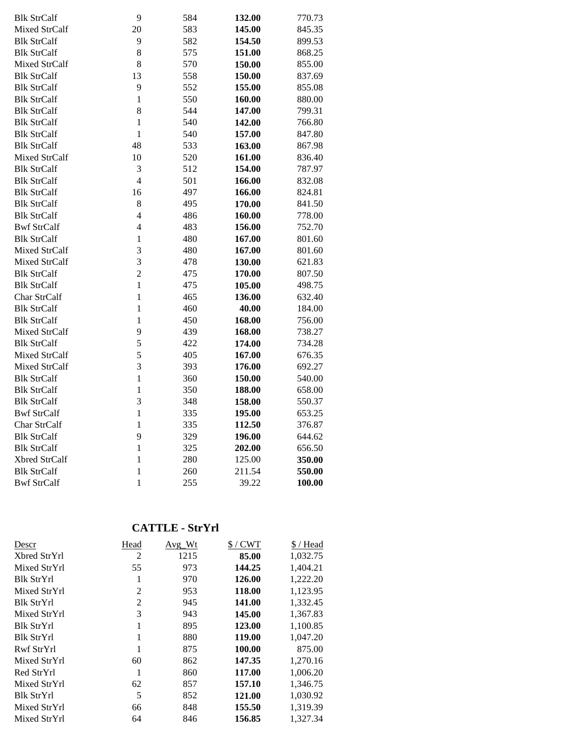| <b>Blk StrCalf</b>   | 9              | 584 | 132.00 | 770.73 |
|----------------------|----------------|-----|--------|--------|
| Mixed StrCalf        | 20             | 583 | 145.00 | 845.35 |
| <b>Blk StrCalf</b>   | 9              | 582 | 154.50 | 899.53 |
| <b>Blk StrCalf</b>   | 8              | 575 | 151.00 | 868.25 |
| Mixed StrCalf        | 8              | 570 | 150.00 | 855.00 |
| <b>Blk StrCalf</b>   | 13             | 558 | 150.00 | 837.69 |
| <b>Blk StrCalf</b>   | 9              | 552 | 155.00 | 855.08 |
| <b>Blk StrCalf</b>   | $\mathbf{1}$   | 550 | 160.00 | 880.00 |
| <b>Blk StrCalf</b>   | 8              | 544 | 147.00 | 799.31 |
| <b>Blk StrCalf</b>   | $\mathbf{1}$   | 540 | 142.00 | 766.80 |
| <b>Blk StrCalf</b>   | $\mathbf{1}$   | 540 | 157.00 | 847.80 |
| <b>Blk StrCalf</b>   | 48             | 533 | 163.00 | 867.98 |
| <b>Mixed StrCalf</b> | 10             | 520 | 161.00 | 836.40 |
| <b>Blk StrCalf</b>   | 3              | 512 | 154.00 | 787.97 |
| <b>Blk StrCalf</b>   | $\overline{4}$ | 501 | 166.00 | 832.08 |
| <b>Blk StrCalf</b>   | 16             | 497 | 166.00 | 824.81 |
| <b>Blk StrCalf</b>   | 8              | 495 | 170.00 | 841.50 |
| <b>Blk StrCalf</b>   | $\overline{4}$ | 486 | 160.00 | 778.00 |
| <b>Bwf StrCalf</b>   | $\overline{4}$ | 483 | 156.00 | 752.70 |
| <b>Blk StrCalf</b>   | $\mathbf 1$    | 480 | 167.00 | 801.60 |
| Mixed StrCalf        | 3              | 480 | 167.00 | 801.60 |
| Mixed StrCalf        | 3              | 478 | 130.00 | 621.83 |
| <b>Blk StrCalf</b>   | $\overline{c}$ | 475 | 170.00 | 807.50 |
| <b>Blk StrCalf</b>   | $\mathbf{1}$   | 475 | 105.00 | 498.75 |
| Char StrCalf         | $\mathbf{1}$   | 465 | 136.00 | 632.40 |
| <b>Blk StrCalf</b>   | $\mathbf{1}$   | 460 | 40.00  | 184.00 |
| <b>Blk StrCalf</b>   | $\mathbf 1$    | 450 | 168.00 | 756.00 |
| Mixed StrCalf        | 9              | 439 | 168.00 | 738.27 |
| <b>Blk StrCalf</b>   | 5              | 422 | 174.00 | 734.28 |
| Mixed StrCalf        | 5              | 405 | 167.00 | 676.35 |
| Mixed StrCalf        | 3              | 393 | 176.00 | 692.27 |
| <b>Blk StrCalf</b>   | $\mathbf{1}$   | 360 | 150.00 | 540.00 |
| <b>Blk StrCalf</b>   | $\mathbf{1}$   | 350 | 188.00 | 658.00 |
| <b>Blk StrCalf</b>   | 3              | 348 | 158.00 | 550.37 |
| <b>Bwf StrCalf</b>   | $\mathbf{1}$   | 335 | 195.00 | 653.25 |
| Char StrCalf         | $\mathbf{1}$   | 335 | 112.50 | 376.87 |
| <b>Blk StrCalf</b>   | 9              | 329 | 196.00 | 644.62 |
| <b>Blk StrCalf</b>   | $\mathbf{1}$   | 325 | 202.00 | 656.50 |
| Xbred StrCalf        | $\mathbf{1}$   | 280 | 125.00 | 350.00 |
| <b>Blk StrCalf</b>   | $\mathbf{1}$   | 260 | 211.54 | 550.00 |
| <b>Bwf StrCalf</b>   | $\mathbf{1}$   | 255 | 39.22  | 100.00 |

# **CATTLE - StrYrl**

| Descr             | Head           | $Avg_Wt$ | $$/$ CWT | $$/$ Head |
|-------------------|----------------|----------|----------|-----------|
| Xbred StrYrl      | 2              | 1215     | 85.00    | 1,032.75  |
| Mixed StrYrl      | 55             | 973      | 144.25   | 1,404.21  |
| Blk StrYrl        | 1              | 970      | 126.00   | 1,222.20  |
| Mixed StrYrl      | 2              | 953      | 118.00   | 1,123.95  |
| <b>Blk StrYrl</b> | $\overline{2}$ | 945      | 141.00   | 1,332.45  |
| Mixed StrYrl      | 3              | 943      | 145.00   | 1,367.83  |
| Blk StrYrl        | 1              | 895      | 123.00   | 1,100.85  |
| <b>Blk StrYrl</b> | 1              | 880      | 119.00   | 1,047.20  |
| Rwf StrYrl        |                | 875      | 100.00   | 875.00    |
| Mixed StrYrl      | 60             | 862      | 147.35   | 1,270.16  |
| Red StrYrl        | 1              | 860      | 117.00   | 1,006.20  |
| Mixed StrYrl      | 62             | 857      | 157.10   | 1,346.75  |
| <b>Blk StrYrl</b> | 5              | 852      | 121.00   | 1,030.92  |
| Mixed StrYrl      | 66             | 848      | 155.50   | 1,319.39  |
| Mixed StrYrl      | 64             | 846      | 156.85   | 1,327.34  |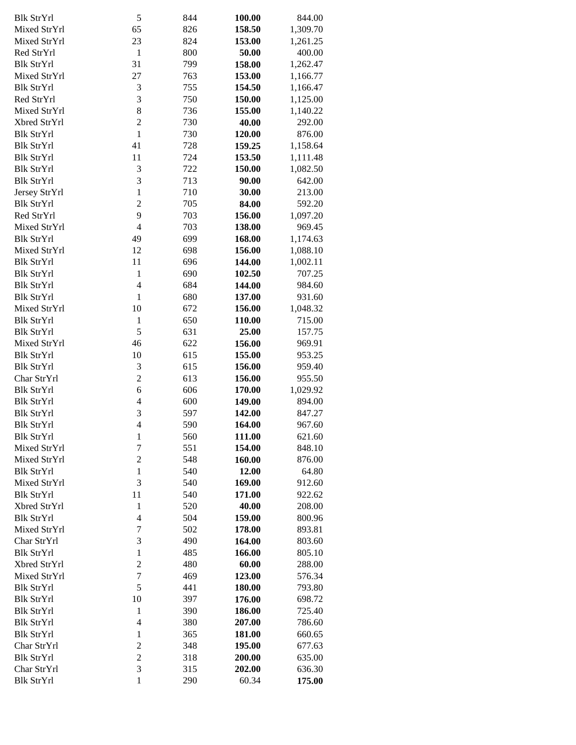| <b>Blk StrYrl</b> | 5                        | 844 | 100.00        | 844.00   |
|-------------------|--------------------------|-----|---------------|----------|
| Mixed StrYrl      | 65                       | 826 | 158.50        | 1,309.70 |
| Mixed StrYrl      | 23                       | 824 | 153.00        | 1,261.25 |
| Red StrYrl        | 1                        | 800 | 50.00         | 400.00   |
| <b>Blk StrYrl</b> | 31                       | 799 | 158.00        | 1,262.47 |
| Mixed StrYrl      | 27                       | 763 | 153.00        | 1,166.77 |
| <b>Blk StrYrl</b> | 3                        | 755 | 154.50        | 1,166.47 |
| Red StrYrl        | 3                        | 750 | 150.00        | 1,125.00 |
| Mixed StrYrl      | 8                        | 736 | 155.00        | 1,140.22 |
| Xbred StrYrl      | $\overline{c}$           | 730 | 40.00         | 292.00   |
| <b>Blk StrYrl</b> | $\mathbf{1}$             | 730 | 120.00        | 876.00   |
| <b>Blk StrYrl</b> | 41                       | 728 | 159.25        | 1,158.64 |
| <b>Blk StrYrl</b> | 11                       | 724 | 153.50        | 1,111.48 |
| <b>Blk StrYrl</b> | 3                        | 722 | 150.00        | 1,082.50 |
| <b>Blk StrYrl</b> | 3                        | 713 | 90.00         | 642.00   |
| Jersey StrYrl     | $\mathbf{1}$             | 710 | 30.00         | 213.00   |
| <b>Blk StrYrl</b> | $\overline{c}$           | 705 | 84.00         | 592.20   |
| Red StrYrl        | 9                        | 703 | 156.00        | 1,097.20 |
| Mixed StrYrl      | $\overline{4}$           | 703 | 138.00        | 969.45   |
| <b>Blk StrYrl</b> | 49                       | 699 | 168.00        | 1,174.63 |
| Mixed StrYrl      | 12                       | 698 | 156.00        | 1,088.10 |
| <b>Blk StrYrl</b> | 11                       | 696 | 144.00        | 1,002.11 |
| <b>Blk StrYrl</b> | $\mathbf{1}$             | 690 | 102.50        | 707.25   |
| <b>Blk StrYrl</b> | $\overline{4}$           | 684 | 144.00        | 984.60   |
| <b>Blk StrYrl</b> | $\mathbf{1}$             | 680 | 137.00        | 931.60   |
| Mixed StrYrl      | 10                       | 672 | 156.00        | 1,048.32 |
| <b>Blk StrYrl</b> | $\mathbf{1}$             | 650 | 110.00        | 715.00   |
| <b>Blk StrYrl</b> | 5                        | 631 | 25.00         | 157.75   |
| Mixed StrYrl      | 46                       | 622 | 156.00        | 969.91   |
| <b>Blk StrYrl</b> | 10                       | 615 | 155.00        | 953.25   |
| <b>Blk StrYrl</b> | 3                        | 615 | 156.00        | 959.40   |
| Char StrYrl       | $\overline{2}$           | 613 | 156.00        | 955.50   |
| <b>Blk StrYrl</b> | 6                        | 606 | 170.00        | 1,029.92 |
| <b>Blk StrYrl</b> | $\overline{4}$           | 600 | 149.00        | 894.00   |
| <b>Blk StrYrl</b> | 3                        | 597 | 142.00        | 847.27   |
| <b>Blk StrYrl</b> | $\overline{4}$           | 590 | 164.00        | 967.60   |
| <b>Blk StrYrl</b> | 1                        | 560 | <b>111.00</b> | 621.60   |
| Mixed StrYrl      | $\sqrt{ }$               | 551 | 154.00        | 848.10   |
| Mixed StrYrl      | $\overline{c}$           | 548 | 160.00        | 876.00   |
| <b>Blk StrYrl</b> | $\mathbf{1}$             | 540 | 12.00         | 64.80    |
| Mixed StrYrl      | 3                        | 540 | 169.00        | 912.60   |
| <b>Blk StrYrl</b> | 11                       | 540 | 171.00        | 922.62   |
| Xbred StrYrl      | 1                        | 520 | 40.00         | 208.00   |
| <b>Blk StrYrl</b> | $\overline{\mathcal{L}}$ | 504 | 159.00        | 800.96   |
| Mixed StrYrl      | $\boldsymbol{7}$         | 502 | 178.00        | 893.81   |
| Char StrYrl       | 3                        | 490 | 164.00        | 803.60   |
| <b>Blk StrYrl</b> | $\mathbf{1}$             | 485 | 166.00        | 805.10   |
| Xbred StrYrl      | $\overline{2}$           | 480 | 60.00         | 288.00   |
| Mixed StrYrl      | $\overline{7}$           | 469 | 123.00        | 576.34   |
| <b>Blk StrYrl</b> | 5                        | 441 | 180.00        | 793.80   |
| <b>Blk StrYrl</b> | 10                       | 397 | 176.00        | 698.72   |
| <b>Blk StrYrl</b> | $\mathbf{1}$             | 390 | 186.00        | 725.40   |
| <b>Blk StrYrl</b> | $\overline{4}$           | 380 | 207.00        | 786.60   |
| <b>Blk StrYrl</b> | $\mathbf{1}$             | 365 | 181.00        | 660.65   |
| Char StrYrl       | $\overline{c}$           | 348 | 195.00        | 677.63   |
| <b>Blk StrYrl</b> | $\overline{c}$           | 318 | 200.00        | 635.00   |
| Char StrYrl       | 3                        | 315 | 202.00        | 636.30   |
| <b>Blk StrYrl</b> | $\mathbf{1}$             | 290 | 60.34         | 175.00   |